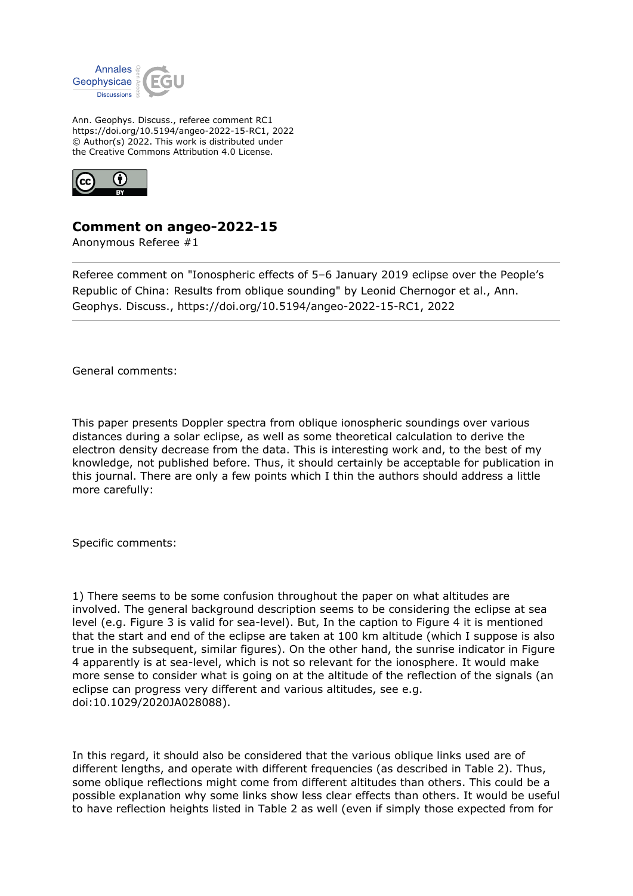

Ann. Geophys. Discuss., referee comment RC1 https://doi.org/10.5194/angeo-2022-15-RC1, 2022 © Author(s) 2022. This work is distributed under the Creative Commons Attribution 4.0 License.



## **Comment on angeo-2022-15**

Anonymous Referee #1

Referee comment on "Ionospheric effects of 5–6 January 2019 eclipse over the People's Republic of China: Results from oblique sounding" by Leonid Chernogor et al., Ann. Geophys. Discuss., https://doi.org/10.5194/angeo-2022-15-RC1, 2022

General comments:

This paper presents Doppler spectra from oblique ionospheric soundings over various distances during a solar eclipse, as well as some theoretical calculation to derive the electron density decrease from the data. This is interesting work and, to the best of my knowledge, not published before. Thus, it should certainly be acceptable for publication in this journal. There are only a few points which I thin the authors should address a little more carefully:

Specific comments:

1) There seems to be some confusion throughout the paper on what altitudes are involved. The general background description seems to be considering the eclipse at sea level (e.g. Figure 3 is valid for sea-level). But, In the caption to Figure 4 it is mentioned that the start and end of the eclipse are taken at 100 km altitude (which I suppose is also true in the subsequent, similar figures). On the other hand, the sunrise indicator in Figure 4 apparently is at sea-level, which is not so relevant for the ionosphere. It would make more sense to consider what is going on at the altitude of the reflection of the signals (an eclipse can progress very different and various altitudes, see e.g. doi:10.1029/2020JA028088).

In this regard, it should also be considered that the various oblique links used are of different lengths, and operate with different frequencies (as described in Table 2). Thus, some oblique reflections might come from different altitudes than others. This could be a possible explanation why some links show less clear effects than others. It would be useful to have reflection heights listed in Table 2 as well (even if simply those expected from for